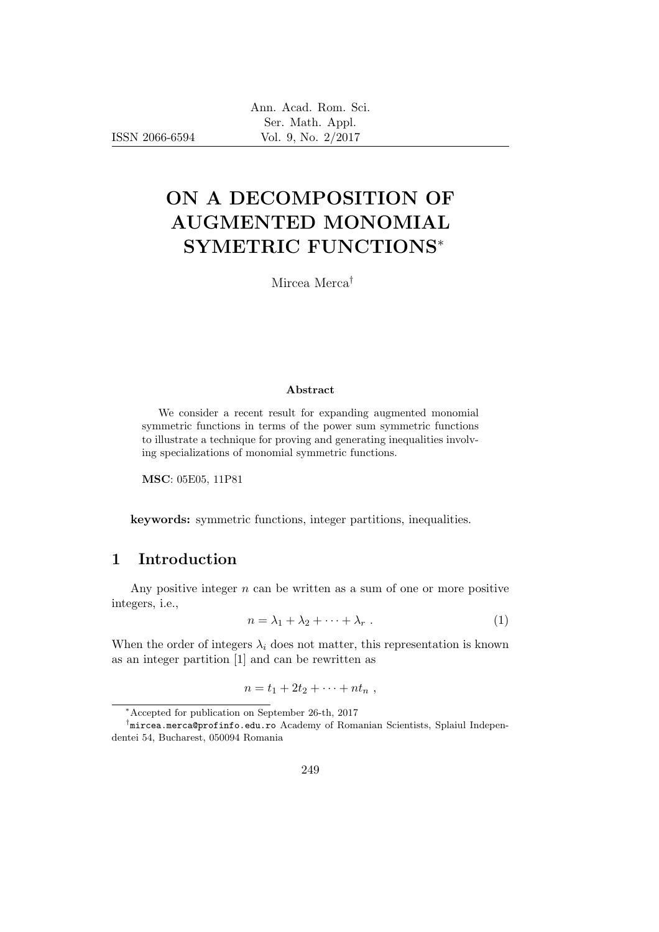ISSN 2066-6594

# ON A DECOMPOSITION OF AUGMENTED MONOMIAL SYMETRIC FUNCTIONS<sup>∗</sup>

Mircea Merca†

#### Abstract

We consider a recent result for expanding augmented monomial symmetric functions in terms of the power sum symmetric functions to illustrate a technique for proving and generating inequalities involving specializations of monomial symmetric functions.

MSC: 05E05, 11P81

keywords: symmetric functions, integer partitions, inequalities.

#### 1 Introduction

Any positive integer  $n$  can be written as a sum of one or more positive integers, i.e.,

$$
n = \lambda_1 + \lambda_2 + \dots + \lambda_r \tag{1}
$$

When the order of integers  $\lambda_i$  does not matter, this representation is known as an integer partition [1] and can be rewritten as

$$
n=t_1+2t_2+\cdots+nt_n,
$$

<sup>∗</sup>Accepted for publication on September 26-th, 2017

<sup>†</sup> mircea.merca@profinfo.edu.ro Academy of Romanian Scientists, Splaiul Independentei 54, Bucharest, 050094 Romania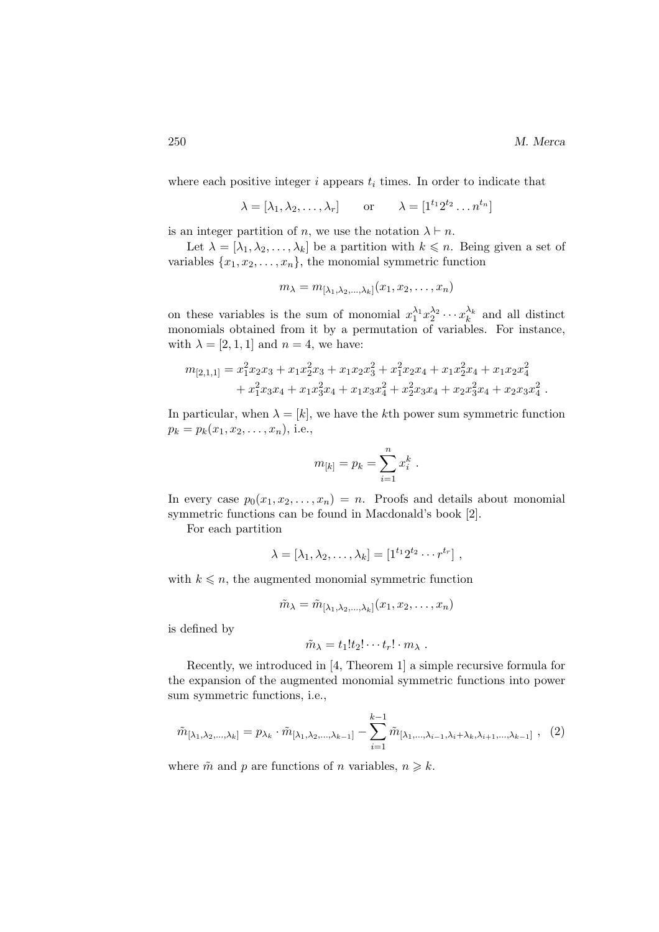where each positive integer  $i$  appears  $t_i$  times. In order to indicate that

 $\lambda = [\lambda_1, \lambda_2, \dots, \lambda_r]$  or  $\lambda = [1^{t_1} 2^{t_2} \dots n^{t_n}]$ 

is an integer partition of n, we use the notation  $\lambda \vdash n$ .

Let  $\lambda = [\lambda_1, \lambda_2, \ldots, \lambda_k]$  be a partition with  $k \leq n$ . Being given a set of variables  $\{x_1, x_2, \ldots, x_n\}$ , the monomial symmetric function

$$
m_{\lambda}=m_{[\lambda_1,\lambda_2,\ldots,\lambda_k]}(x_1,x_2,\ldots,x_n)
$$

on these variables is the sum of monomial  $x_1^{\lambda_1} x_2^{\lambda_2} \cdots x_k^{\lambda_k}$  and all distinct monomials obtained from it by a permutation of variables. For instance, with  $\lambda = [2, 1, 1]$  and  $n = 4$ , we have:

$$
m_{[2,1,1]} = x_1^2 x_2 x_3 + x_1 x_2^2 x_3 + x_1 x_2 x_3^2 + x_1^2 x_2 x_4 + x_1 x_2^2 x_4 + x_1 x_2 x_4^2
$$
  
+ 
$$
x_1^2 x_3 x_4 + x_1 x_3^2 x_4 + x_1 x_3 x_4^2 + x_2^2 x_3 x_4 + x_2 x_3^2 x_4 + x_2 x_3 x_4^2.
$$

In particular, when  $\lambda = [k]$ , we have the kth power sum symmetric function  $p_k = p_k(x_1, x_2, \ldots, x_n)$ , i.e.,

$$
m_{[k]} = p_k = \sum_{i=1}^n x_i^k.
$$

In every case  $p_0(x_1, x_2, \ldots, x_n) = n$ . Proofs and details about monomial symmetric functions can be found in Macdonald's book [2].

For each partition

$$
\lambda = [\lambda_1, \lambda_2, \dots, \lambda_k] = [1^{t_1} 2^{t_2} \cdots r^{t_r}],
$$

with  $k \leq n$ , the augmented monomial symmetric function

$$
\tilde{m}_{\lambda} = \tilde{m}_{[\lambda_1, \lambda_2, \ldots, \lambda_k]}(x_1, x_2, \ldots, x_n)
$$

is defined by

$$
\tilde{m}_{\lambda} = t_1! t_2! \cdots t_r! \cdot m_{\lambda} .
$$

Recently, we introduced in [4, Theorem 1] a simple recursive formula for the expansion of the augmented monomial symmetric functions into power sum symmetric functions, i.e.,

$$
\tilde{m}_{[\lambda_1, \lambda_2, \dots, \lambda_k]} = p_{\lambda_k} \cdot \tilde{m}_{[\lambda_1, \lambda_2, \dots, \lambda_{k-1}]} - \sum_{i=1}^{k-1} \tilde{m}_{[\lambda_1, \dots, \lambda_{i-1}, \lambda_i + \lambda_k, \lambda_{i+1}, \dots, \lambda_{k-1}]} , (2)
$$

where  $\tilde{m}$  and p are functions of n variables,  $n \geq k$ .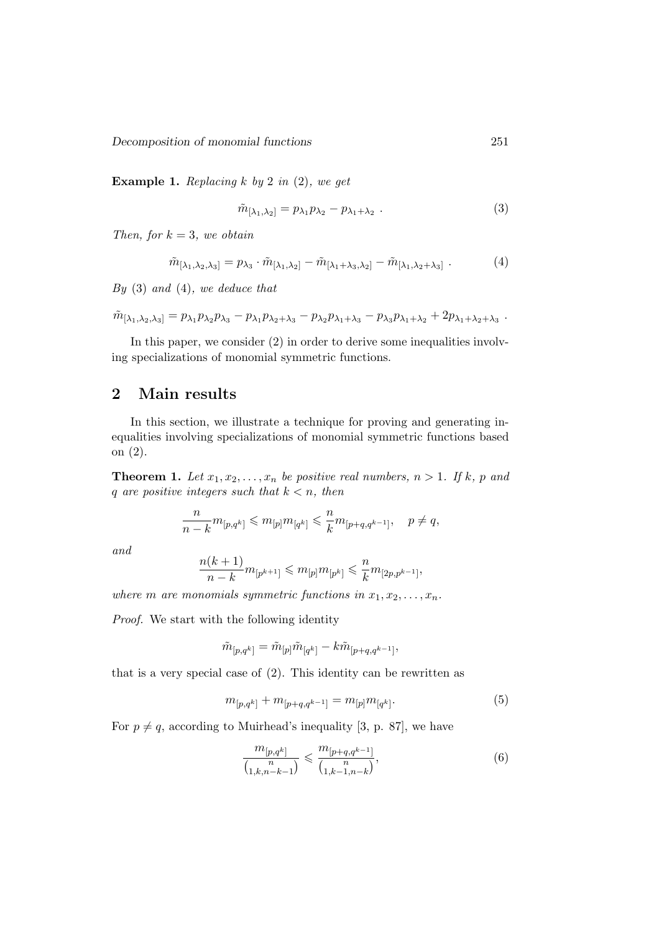Decomposition of monomial functions 251

**Example 1.** Replacing  $k$  by 2 in (2), we get

$$
\tilde{m}_{[\lambda_1,\lambda_2]} = p_{\lambda_1} p_{\lambda_2} - p_{\lambda_1+\lambda_2} . \tag{3}
$$

Then, for  $k = 3$ , we obtain

$$
\tilde{m}_{\left[\lambda_1,\lambda_2,\lambda_3\right]} = p_{\lambda_3} \cdot \tilde{m}_{\left[\lambda_1,\lambda_2\right]} - \tilde{m}_{\left[\lambda_1+\lambda_3,\lambda_2\right]} - \tilde{m}_{\left[\lambda_1,\lambda_2+\lambda_3\right]} \tag{4}
$$

 $By (3) and (4), we deduce that$ 

$$
\tilde{m}_{[\lambda_1,\lambda_2,\lambda_3]} = p_{\lambda_1}p_{\lambda_2}p_{\lambda_3} - p_{\lambda_1}p_{\lambda_2+\lambda_3} - p_{\lambda_2}p_{\lambda_1+\lambda_3} - p_{\lambda_3}p_{\lambda_1+\lambda_2} + 2p_{\lambda_1+\lambda_2+\lambda_3}.
$$

In this paper, we consider (2) in order to derive some inequalities involving specializations of monomial symmetric functions.

## 2 Main results

In this section, we illustrate a technique for proving and generating inequalities involving specializations of monomial symmetric functions based on (2).

**Theorem 1.** Let  $x_1, x_2, \ldots, x_n$  be positive real numbers,  $n > 1$ . If k, p and q are positive integers such that  $k < n$ , then

$$
\frac{n}{n-k}m_{[p,q^k]}\leqslant m_{[p]}m_{[q^k]}\leqslant \frac{n}{k}m_{[p+q,q^{k-1}]},\quad p\neq q,
$$

and

$$
\frac{n(k+1)}{n-k}m_{[p^{k+1}]}\leqslant m_{[p]}m_{[p^{k}]}\leqslant \frac{n}{k}m_{[2p,p^{k-1}]},
$$

where m are monomials symmetric functions in  $x_1, x_2, \ldots, x_n$ .

Proof. We start with the following identity

$$
\tilde{m}_{[p,q^k]} = \tilde{m}_{[p]} \tilde{m}_{[q^k]} - k \tilde{m}_{[p+q,q^{k-1}]},
$$

that is a very special case of (2). This identity can be rewritten as

$$
m_{[p,q^k]} + m_{[p+q,q^{k-1}]} = m_{[p]} m_{[q^k]}.
$$
\n(5)

For  $p \neq q$ , according to Muirhead's inequality [3, p. 87], we have

$$
\frac{m_{[p,q^k]}}{\binom{n}{1,k,n-k-1}} \leqslant \frac{m_{[p+q,q^{k-1}]}}{\binom{n}{1,k-1,n-k}},\tag{6}
$$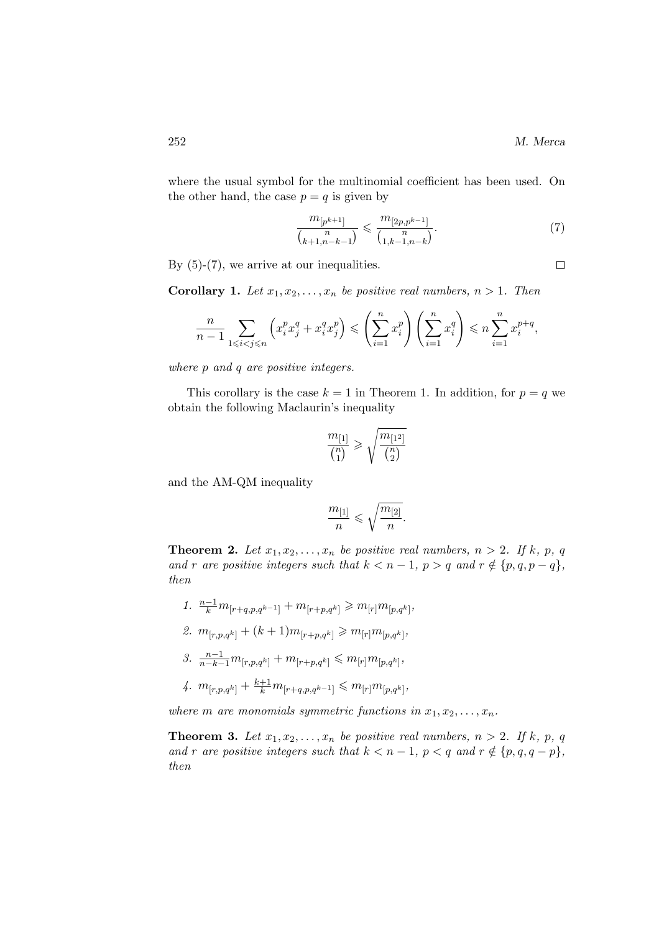where the usual symbol for the multinomial coefficient has been used. On the other hand, the case  $p = q$  is given by

$$
\frac{m_{[p^{k+1}]}}{\binom{n}{k+1, n-k-1}} \leqslant \frac{m_{[2p, p^{k-1}]}}{\binom{n}{1, k-1, n-k}}.\tag{7}
$$

By  $(5)-(7)$ , we arrive at our inequalities.

**Corollary 1.** Let  $x_1, x_2, \ldots, x_n$  be positive real numbers,  $n > 1$ . Then

$$
\frac{n}{n-1} \sum_{1 \leq i < j \leq n} \left( x_i^p x_j^q + x_i^q x_j^p \right) \leq \left( \sum_{i=1}^n x_i^p \right) \left( \sum_{i=1}^n x_i^q \right) \leq n \sum_{i=1}^n x_i^{p+q},
$$

where p and q are positive integers.

This corollary is the case  $k = 1$  in Theorem 1. In addition, for  $p = q$  we obtain the following Maclaurin's inequality

$$
\frac{m_{[1]}}{\binom{n}{1}} \geqslant \sqrt{\frac{m_{[1^2]}}{\binom{n}{2}}}
$$

and the AM-QM inequality

$$
\frac{m_{[1]}}{n}\leqslant \sqrt{\frac{m_{[2]}}{n}}.
$$

**Theorem 2.** Let  $x_1, x_2, \ldots, x_n$  be positive real numbers,  $n > 2$ . If k, p, q and r are positive integers such that  $k < n - 1$ ,  $p > q$  and  $r \notin \{p, q, p - q\}$ , then

1.  $\frac{n-1}{k}m_{[r+q,p,q^{k-1}]}+m_{[r+p,q^k]}\geqslant m_{[r]}m_{[p,q^k]},$ 2.  $m_{[r,p,q^k]} + (k+1)m_{[r+p,q^k]} \geq m_{[r]}m_{[p,q^k]},$ 3.  $\frac{n-1}{n-k-1}m_{[r,p,q^k]} + m_{[r+p,q^k]} \leqslant m_{[r]}m_{[p,q^k]},$ 

$$
4. \ \ m_{[r,p,q^k]} + \tfrac{k+1}{k} m_{[r+q,p,q^{k-1}]} \leqslant m_{[r]} m_{[p,q^k]},
$$

where m are monomials symmetric functions in  $x_1, x_2, \ldots, x_n$ .

**Theorem 3.** Let  $x_1, x_2, \ldots, x_n$  be positive real numbers,  $n > 2$ . If k, p, q and r are positive integers such that  $k < n - 1$ ,  $p < q$  and  $r \notin \{p, q, q - p\}$ , then

 $\Box$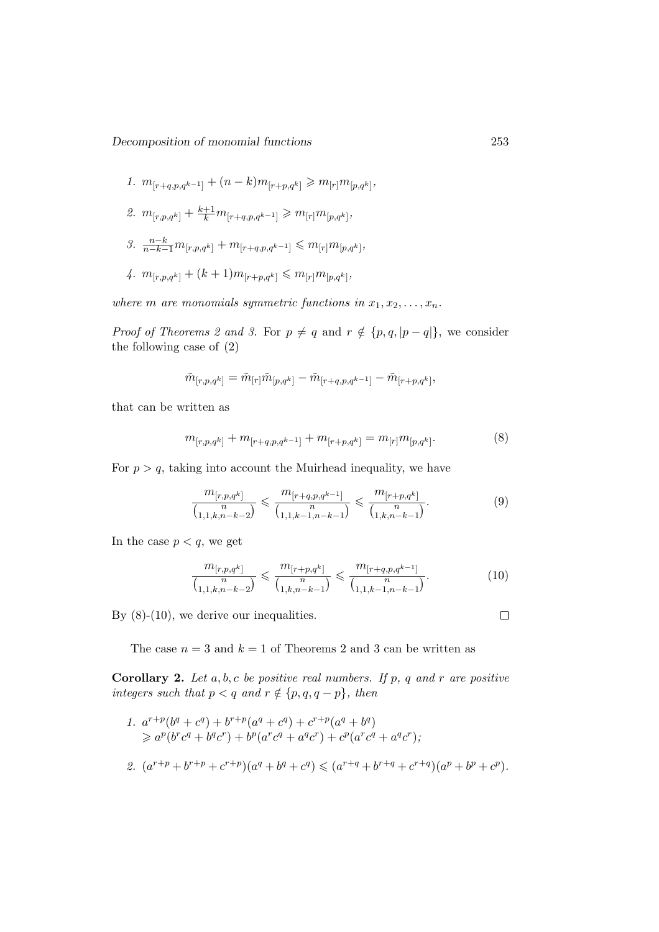1. 
$$
m_{[r+q,p,q^{k-1}]} + (n-k)m_{[r+p,q^k]} \geq m_{[r]}m_{[p,q^k]},
$$

- 2.  $m_{[r,p,q^k]} + \frac{k+1}{k} m_{[r+q,p,q^{k-1}]} \geq m_{[r]} m_{[p,q^k]},$
- 3.  $\frac{n-k}{n-k-1}m_{[r,p,q^k]} + m_{[r+q,p,q^{k-1}]}$  ≤  $m_{[r]}m_{[p,q^k]}$ ,

4. 
$$
m_{[r,p,q^k]} + (k+1)m_{[r+p,q^k]} \leq m_{[r]}m_{[p,q^k]},
$$

where m are monomials symmetric functions in  $x_1, x_2, \ldots, x_n$ .

*Proof of Theorems 2 and 3.* For  $p \neq q$  and  $r \notin \{p, q, |p - q|\}$ , we consider the following case of (2)

$$
\tilde{m}_{[r,p,q^k]} = \tilde{m}_{[r]} \tilde{m}_{[p,q^k]} - \tilde{m}_{[r+q,p,q^{k-1}]} - \tilde{m}_{[r+p,q^k]},
$$

that can be written as

$$
m_{[r,p,q^k]} + m_{[r+q,p,q^{k-1}]} + m_{[r+p,q^k]} = m_{[r]}m_{[p,q^k]}.
$$
\n(8)

For  $p > q$ , taking into account the Muirhead inequality, we have

$$
\frac{m_{[r,p,q^k]}}{\binom{n}{1,1,k,n-k-2}} \leqslant \frac{m_{[r+q,p,q^{k-1}]}}{\binom{n}{1,1,k-1,n-k-1}} \leqslant \frac{m_{[r+p,q^k]}}{\binom{n}{1,k,n-k-1}}.\tag{9}
$$

In the case  $p < q$ , we get

$$
\frac{m_{[r,p,q^k]}}{\binom{n}{1,1,k,n-k-2}} \leqslant \frac{m_{[r+p,q^k]}}{\binom{n}{1,k,n-k-1}} \leqslant \frac{m_{[r+q,p,q^{k-1}]}}{\binom{n}{1,1,k-1,n-k-1}}.\tag{10}
$$

By  $(8)-(10)$ , we derive our inequalities.

The case  $n = 3$  and  $k = 1$  of Theorems 2 and 3 can be written as

**Corollary 2.** Let  $a, b, c$  be positive real numbers. If p, q and r are positive integers such that  $p < q$  and  $r \notin \{p, q, q - p\}$ , then

- 1.  $a^{r+p}(b^q+c^q)+b^{r+p}(a^q+c^q)+c^{r+p}(a^q+b^q)$  $\geq a^p(b^r c^q + b^q c^r) + b^p(a^r c^q + a^q c^r) + c^p(a^r c^q + a^q c^r);$
- 2.  $(a^{r+p} + b^{r+p} + c^{r+p})(a^q + b^q + c^q) \leq (a^{r+q} + b^{r+q} + c^{r+q})(a^p + b^p + c^p).$

 $\Box$